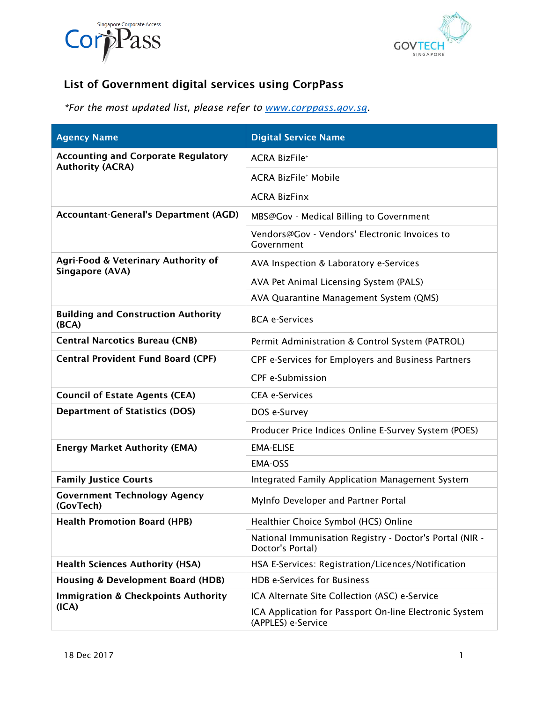



## **List of Government digital services using CorpPass**

*\*For the most updated list, please refer to [www.corppass.gov.sg.](http://www.corppass.gov.sg/)* 

| <b>Agency Name</b>                                                    | <b>Digital Service Name</b>                                                  |
|-----------------------------------------------------------------------|------------------------------------------------------------------------------|
| <b>Accounting and Corporate Regulatory</b><br><b>Authority (ACRA)</b> | <b>ACRA BizFile*</b>                                                         |
|                                                                       | <b>ACRA BizFile* Mobile</b>                                                  |
|                                                                       | <b>ACRA BizFinx</b>                                                          |
| <b>Accountant-General's Department (AGD)</b>                          | MBS@Gov - Medical Billing to Government                                      |
|                                                                       | Vendors@Gov - Vendors' Electronic Invoices to<br>Government                  |
| Agri-Food & Veterinary Authority of<br>Singapore (AVA)                | AVA Inspection & Laboratory e-Services                                       |
|                                                                       | AVA Pet Animal Licensing System (PALS)                                       |
|                                                                       | AVA Quarantine Management System (QMS)                                       |
| <b>Building and Construction Authority</b><br>(BCA)                   | <b>BCA e-Services</b>                                                        |
| <b>Central Narcotics Bureau (CNB)</b>                                 | Permit Administration & Control System (PATROL)                              |
| <b>Central Provident Fund Board (CPF)</b>                             | CPF e-Services for Employers and Business Partners                           |
|                                                                       | CPF e-Submission                                                             |
| <b>Council of Estate Agents (CEA)</b>                                 | <b>CEA e-Services</b>                                                        |
| <b>Department of Statistics (DOS)</b>                                 | DOS e-Survey                                                                 |
|                                                                       | Producer Price Indices Online E-Survey System (POES)                         |
| <b>Energy Market Authority (EMA)</b>                                  | <b>EMA-ELISE</b>                                                             |
|                                                                       | <b>EMA-OSS</b>                                                               |
| <b>Family Justice Courts</b>                                          | Integrated Family Application Management System                              |
| <b>Government Technology Agency</b><br>(GovTech)                      | MyInfo Developer and Partner Portal                                          |
| <b>Health Promotion Board (HPB)</b>                                   | Healthier Choice Symbol (HCS) Online                                         |
|                                                                       | National Immunisation Registry - Doctor's Portal (NIR -<br>Doctor's Portal)  |
| <b>Health Sciences Authority (HSA)</b>                                | HSA E-Services: Registration/Licences/Notification                           |
| <b>Housing &amp; Development Board (HDB)</b>                          | HDB e-Services for Business                                                  |
| <b>Immigration &amp; Checkpoints Authority</b><br>(ICA)               | ICA Alternate Site Collection (ASC) e-Service                                |
|                                                                       | ICA Application for Passport On-line Electronic System<br>(APPLES) e-Service |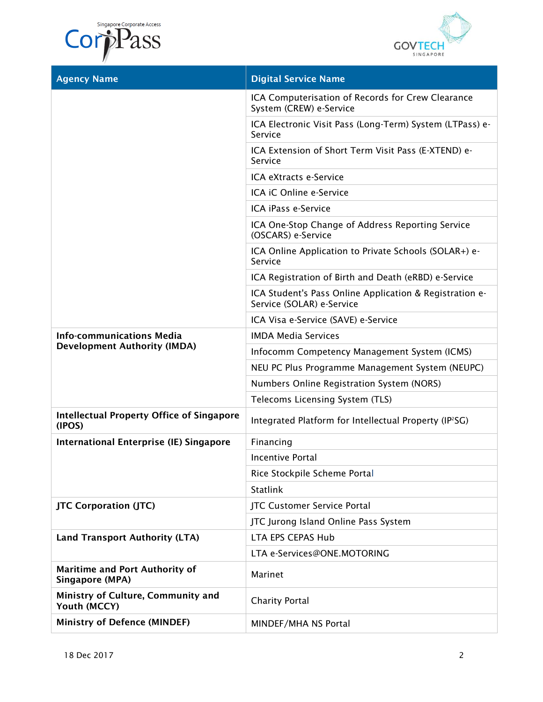Singapore Corporate Access





| <b>Agency Name</b>                                         | <b>Digital Service Name</b>                                                          |
|------------------------------------------------------------|--------------------------------------------------------------------------------------|
|                                                            | ICA Computerisation of Records for Crew Clearance<br>System (CREW) e-Service         |
|                                                            | ICA Electronic Visit Pass (Long-Term) System (LTPass) e-<br>Service                  |
|                                                            | ICA Extension of Short Term Visit Pass (E-XTEND) e-<br>Service                       |
|                                                            | ICA eXtracts e-Service                                                               |
|                                                            | ICA iC Online e-Service                                                              |
|                                                            | ICA iPass e-Service                                                                  |
|                                                            | ICA One-Stop Change of Address Reporting Service<br>(OSCARS) e-Service               |
|                                                            | ICA Online Application to Private Schools (SOLAR+) e-<br>Service                     |
|                                                            | ICA Registration of Birth and Death (eRBD) e-Service                                 |
|                                                            | ICA Student's Pass Online Application & Registration e-<br>Service (SOLAR) e-Service |
|                                                            | ICA Visa e-Service (SAVE) e-Service                                                  |
| <b>Info-communications Media</b>                           | <b>IMDA Media Services</b>                                                           |
| <b>Development Authority (IMDA)</b>                        | Infocomm Competency Management System (ICMS)                                         |
|                                                            | NEU PC Plus Programme Management System (NEUPC)                                      |
|                                                            | Numbers Online Registration System (NORS)                                            |
|                                                            | Telecoms Licensing System (TLS)                                                      |
| <b>Intellectual Property Office of Singapore</b><br>(IPOS) | Integrated Platform for Intellectual Property (IP <sup>2</sup> SG)                   |
| <b>International Enterprise (IE) Singapore</b>             | Financing                                                                            |
|                                                            | Incentive Portal                                                                     |
|                                                            | Rice Stockpile Scheme Portal                                                         |
|                                                            | <b>Statlink</b>                                                                      |
| <b>JTC Corporation (JTC)</b>                               | JTC Customer Service Portal                                                          |
|                                                            | JTC Jurong Island Online Pass System                                                 |
| <b>Land Transport Authority (LTA)</b>                      | <b>LTA EPS CEPAS Hub</b>                                                             |
|                                                            | LTA e-Services@ONE.MOTORING                                                          |
| <b>Maritime and Port Authority of</b><br>Singapore (MPA)   | Marinet                                                                              |
| Ministry of Culture, Community and<br>Youth (MCCY)         | <b>Charity Portal</b>                                                                |
| <b>Ministry of Defence (MINDEF)</b>                        | MINDEF/MHA NS Portal                                                                 |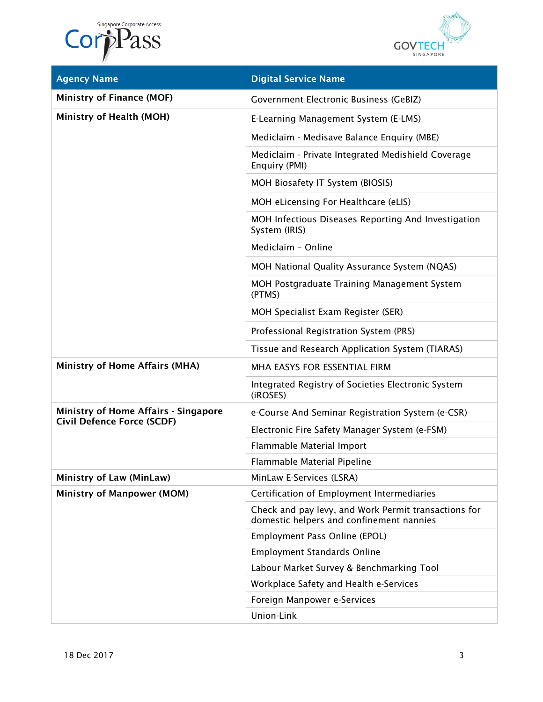



| <b>Agency Name</b>                          | <b>Digital Service Name</b>                                                                      |
|---------------------------------------------|--------------------------------------------------------------------------------------------------|
| <b>Ministry of Finance (MOF)</b>            | Government Electronic Business (GeBIZ)                                                           |
| Ministry of Health (MOH)                    | E-Learning Management System (E-LMS)                                                             |
|                                             | Mediclaim - Medisave Balance Enquiry (MBE)                                                       |
|                                             | Mediclaim - Private Integrated Medishield Coverage<br>Enquiry (PMI)                              |
|                                             | MOH Biosafety IT System (BIOSIS)                                                                 |
|                                             | MOH eLicensing For Healthcare (eLIS)                                                             |
|                                             | MOH Infectious Diseases Reporting And Investigation<br>System (IRIS)                             |
|                                             | Mediclaim - Online                                                                               |
|                                             | MOH National Quality Assurance System (NQAS)                                                     |
|                                             | MOH Postgraduate Training Management System<br>(PTMS)                                            |
|                                             | MOH Specialist Exam Register (SER)                                                               |
|                                             | Professional Registration System (PRS)                                                           |
|                                             | Tissue and Research Application System (TIARAS)                                                  |
| <b>Ministry of Home Affairs (MHA)</b>       | MHA EASYS FOR ESSENTIAL FIRM                                                                     |
|                                             | Integrated Registry of Societies Electronic System<br>(iROSES)                                   |
| <b>Ministry of Home Affairs - Singapore</b> | e-Course And Seminar Registration System (e-CSR)                                                 |
| <b>Civil Defence Force (SCDF)</b>           | Electronic Fire Safety Manager System (e-FSM)                                                    |
|                                             | Flammable Material Import                                                                        |
|                                             | Flammable Material Pipeline                                                                      |
| <b>Ministry of Law (MinLaw)</b>             | MinLaw E-Services (LSRA)                                                                         |
| <b>Ministry of Manpower (MOM)</b>           | Certification of Employment Intermediaries                                                       |
|                                             | Check and pay levy, and Work Permit transactions for<br>domestic helpers and confinement nannies |
|                                             | Employment Pass Online (EPOL)                                                                    |
|                                             | <b>Employment Standards Online</b>                                                               |
|                                             | Labour Market Survey & Benchmarking Tool                                                         |
|                                             | Workplace Safety and Health e-Services                                                           |
|                                             | Foreign Manpower e-Services                                                                      |
|                                             | Union-Link                                                                                       |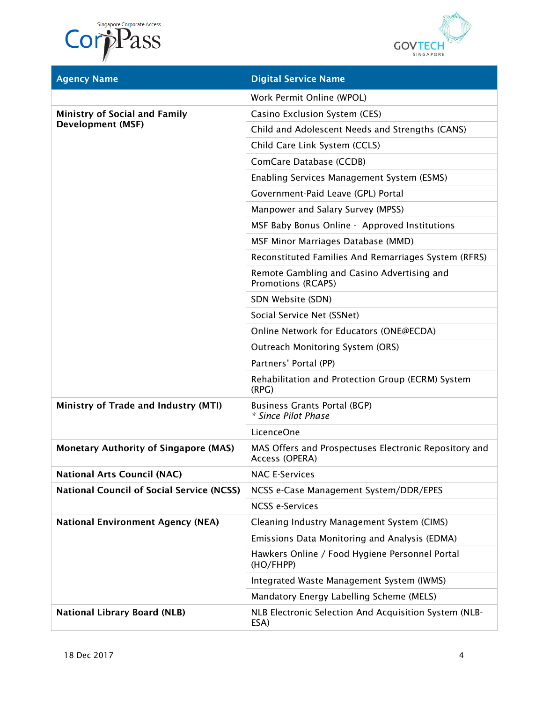Singapore Corporate Access Corporate Access



| <b>Agency Name</b>                                               | <b>Digital Service Name</b>                                             |
|------------------------------------------------------------------|-------------------------------------------------------------------------|
|                                                                  | Work Permit Online (WPOL)                                               |
| <b>Ministry of Social and Family</b><br><b>Development (MSF)</b> | Casino Exclusion System (CES)                                           |
|                                                                  | Child and Adolescent Needs and Strengths (CANS)                         |
|                                                                  | Child Care Link System (CCLS)                                           |
|                                                                  | ComCare Database (CCDB)                                                 |
|                                                                  | Enabling Services Management System (ESMS)                              |
|                                                                  | Government-Paid Leave (GPL) Portal                                      |
|                                                                  | Manpower and Salary Survey (MPSS)                                       |
|                                                                  | MSF Baby Bonus Online - Approved Institutions                           |
|                                                                  | MSF Minor Marriages Database (MMD)                                      |
|                                                                  | Reconstituted Families And Remarriages System (RFRS)                    |
|                                                                  | Remote Gambling and Casino Advertising and<br>Promotions (RCAPS)        |
|                                                                  | SDN Website (SDN)                                                       |
|                                                                  | Social Service Net (SSNet)                                              |
|                                                                  | Online Network for Educators (ONE@ECDA)                                 |
|                                                                  | <b>Outreach Monitoring System (ORS)</b>                                 |
|                                                                  | Partners' Portal (PP)                                                   |
|                                                                  | Rehabilitation and Protection Group (ECRM) System<br>(RPG)              |
| Ministry of Trade and Industry (MTI)                             | <b>Business Grants Portal (BGP)</b><br>* Since Pilot Phase              |
|                                                                  | LicenceOne                                                              |
| <b>Monetary Authority of Singapore (MAS)</b>                     | MAS Offers and Prospectuses Electronic Repository and<br>Access (OPERA) |
| <b>National Arts Council (NAC)</b>                               | <b>NAC E-Services</b>                                                   |
| <b>National Council of Social Service (NCSS)</b>                 | NCSS e-Case Management System/DDR/EPES                                  |
|                                                                  | <b>NCSS e-Services</b>                                                  |
| <b>National Environment Agency (NEA)</b>                         | Cleaning Industry Management System (CIMS)                              |
|                                                                  | Emissions Data Monitoring and Analysis (EDMA)                           |
|                                                                  | Hawkers Online / Food Hygiene Personnel Portal<br>(HO/FHPP)             |
|                                                                  | Integrated Waste Management System (IWMS)                               |
|                                                                  | Mandatory Energy Labelling Scheme (MELS)                                |
| <b>National Library Board (NLB)</b>                              | NLB Electronic Selection And Acquisition System (NLB-<br>ESA)           |